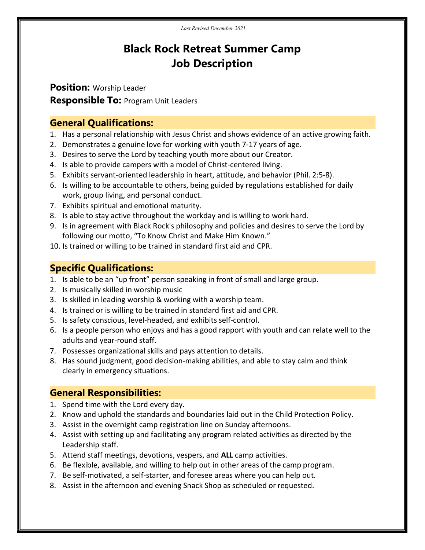# Black Rock Retreat Summer Camp Job Description

**Position: Worship Leader Responsible To: Program Unit Leaders** 

### General Qualifications:

- 1. Has a personal relationship with Jesus Christ and shows evidence of an active growing faith.
- 2. Demonstrates a genuine love for working with youth 7-17 years of age.
- 3. Desires to serve the Lord by teaching youth more about our Creator.
- 4. Is able to provide campers with a model of Christ-centered living.
- 5. Exhibits servant-oriented leadership in heart, attitude, and behavior (Phil. 2:5-8).
- 6. Is willing to be accountable to others, being guided by regulations established for daily work, group living, and personal conduct.
- 7. Exhibits spiritual and emotional maturity.
- 8. Is able to stay active throughout the workday and is willing to work hard.
- 9. Is in agreement with Black Rock's philosophy and policies and desires to serve the Lord by following our motto, "To Know Christ and Make Him Known."
- 10. Is trained or willing to be trained in standard first aid and CPR.

## Specific Qualifications:

- 1. Is able to be an "up front" person speaking in front of small and large group.
- 2. Is musically skilled in worship music
- 3. Is skilled in leading worship & working with a worship team.
- 4. Is trained or is willing to be trained in standard first aid and CPR.
- 5. Is safety conscious, level-headed, and exhibits self-control.
- 6. Is a people person who enjoys and has a good rapport with youth and can relate well to the adults and year-round staff.
- 7. Possesses organizational skills and pays attention to details.
- 8. Has sound judgment, good decision-making abilities, and able to stay calm and think clearly in emergency situations.

# General Responsibilities:

- 1. Spend time with the Lord every day.
- 2. Know and uphold the standards and boundaries laid out in the Child Protection Policy.
- 3. Assist in the overnight camp registration line on Sunday afternoons.
- 4. Assist with setting up and facilitating any program related activities as directed by the Leadership staff.
- 5. Attend staff meetings, devotions, vespers, and ALL camp activities.
- 6. Be flexible, available, and willing to help out in other areas of the camp program.
- 7. Be self-motivated, a self-starter, and foresee areas where you can help out.
- 8. Assist in the afternoon and evening Snack Shop as scheduled or requested.